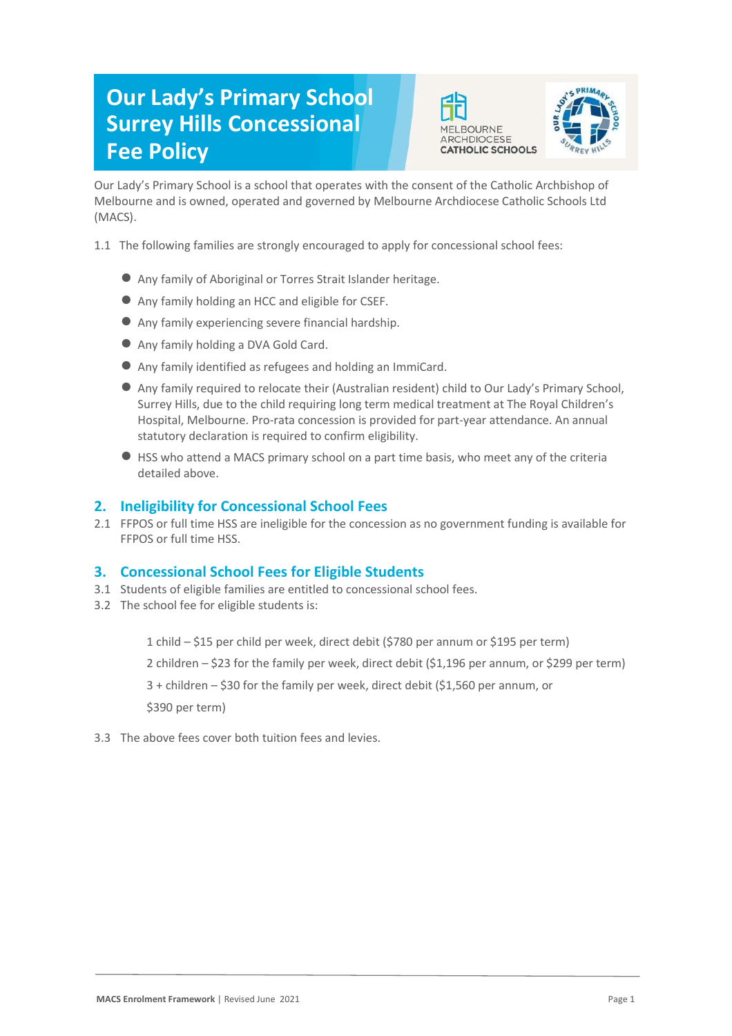# **Our Lady's Primary School Surrey Hills Concessional Fee Policy**





Our Lady's Primary School is a school that operates with the consent of the Catholic Archbishop of Melbourne and is owned, operated and governed by Melbourne Archdiocese Catholic Schools Ltd (MACS).

- 1.1 The following families are strongly encouraged to apply for concessional school fees:
	- Any family of Aboriginal or Torres Strait Islander heritage.
	- Any family holding an HCC and eligible for CSEF.
	- Any family experiencing severe financial hardship.
	- Any family holding a DVA Gold Card.
	- Any family identified as refugees and holding an ImmiCard.
	- Any family required to relocate their (Australian resident) child to Our Lady's Primary School, Surrey Hills, due to the child requiring long term medical treatment at The Royal Children's Hospital, Melbourne. Pro-rata concession is provided for part-year attendance. An annual statutory declaration is required to confirm eligibility.
	- HSS who attend a MACS primary school on a part time basis, who meet any of the criteria detailed above.

## **2. Ineligibility for Concessional School Fees**

2.1 FFPOS or full time HSS are ineligible for the concession as no government funding is available for FFPOS or full time HSS.

### **3. Concessional School Fees for Eligible Students**

- 3.1 Students of eligible families are entitled to concessional school fees.
- 3.2 The school fee for eligible students is:

1 child – \$15 per child per week, direct debit (\$780 per annum or \$195 per term)

2 children – \$23 for the family per week, direct debit (\$1,196 per annum, or \$299 per term)

3 + children – \$30 for the family per week, direct debit (\$1,560 per annum, or

\$390 per term)

3.3 The above fees cover both tuition fees and levies.